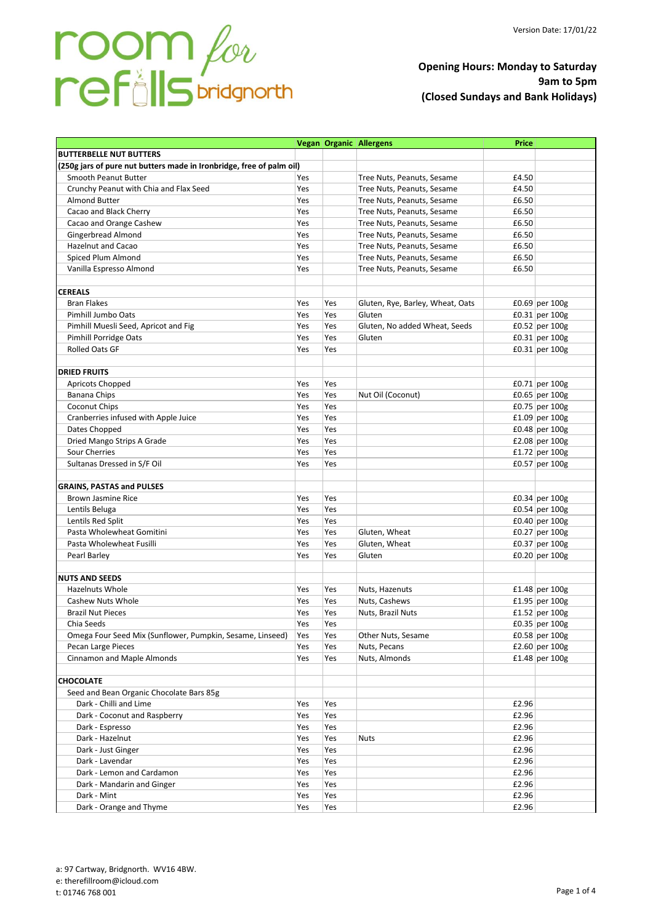# room for

# **Opening Hours: Monday to Saturday 9am to 5pm (Closed Sundays and Bank Holidays)**

|                                                                      |     |     | <b>Vegan Organic Allergens</b>   | <b>Price</b> |                  |
|----------------------------------------------------------------------|-----|-----|----------------------------------|--------------|------------------|
| <b>BUTTERBELLE NUT BUTTERS</b>                                       |     |     |                                  |              |                  |
| (250g jars of pure nut butters made in Ironbridge, free of palm oil) |     |     |                                  |              |                  |
| Smooth Peanut Butter                                                 | Yes |     | Tree Nuts, Peanuts, Sesame       | £4.50        |                  |
| Crunchy Peanut with Chia and Flax Seed                               | Yes |     | Tree Nuts, Peanuts, Sesame       | £4.50        |                  |
| <b>Almond Butter</b>                                                 | Yes |     | Tree Nuts, Peanuts, Sesame       | £6.50        |                  |
| Cacao and Black Cherry                                               | Yes |     | Tree Nuts, Peanuts, Sesame       | £6.50        |                  |
| Cacao and Orange Cashew                                              | Yes |     | Tree Nuts, Peanuts, Sesame       | £6.50        |                  |
| Gingerbread Almond                                                   | Yes |     | Tree Nuts, Peanuts, Sesame       | £6.50        |                  |
| <b>Hazelnut and Cacao</b>                                            | Yes |     | Tree Nuts, Peanuts, Sesame       | £6.50        |                  |
| Spiced Plum Almond                                                   | Yes |     | Tree Nuts, Peanuts, Sesame       | £6.50        |                  |
| Vanilla Espresso Almond                                              | Yes |     | Tree Nuts, Peanuts, Sesame       | £6.50        |                  |
|                                                                      |     |     |                                  |              |                  |
| <b>CEREALS</b>                                                       |     |     |                                  |              |                  |
| <b>Bran Flakes</b>                                                   | Yes | Yes | Gluten, Rye, Barley, Wheat, Oats |              | £0.69 per $100g$ |
| Pimhill Jumbo Oats                                                   | Yes | Yes | Gluten                           |              | $£0.31$ per 100g |
| Pimhill Muesli Seed, Apricot and Fig                                 | Yes | Yes | Gluten, No added Wheat, Seeds    |              | $£0.52$ per 100g |
| <b>Pimhill Porridge Oats</b>                                         | Yes | Yes | Gluten                           |              | $E0.31$ per 100g |
| <b>Rolled Oats GF</b>                                                | Yes | Yes |                                  |              | $£0.31$ per 100g |
|                                                                      |     |     |                                  |              |                  |
| <b>DRIED FRUITS</b>                                                  |     |     |                                  |              |                  |
| Apricots Chopped                                                     | Yes | Yes |                                  |              | £0.71 per $100g$ |
| Banana Chips                                                         | Yes | Yes | Nut Oil (Coconut)                |              | £0.65 per 100g   |
| <b>Coconut Chips</b>                                                 | Yes | Yes |                                  |              | $£0.75$ per 100g |
| Cranberries infused with Apple Juice                                 | Yes | Yes |                                  |              | $£1.09$ per 100g |
| Dates Chopped                                                        | Yes | Yes |                                  |              | £0.48 per $100g$ |
| Dried Mango Strips A Grade                                           | Yes | Yes |                                  |              | £2.08 per 100g   |
| Sour Cherries                                                        | Yes | Yes |                                  |              | £1.72 per $100g$ |
| Sultanas Dressed in S/F Oil                                          | Yes | Yes |                                  |              | $£0.57$ per 100g |
|                                                                      |     |     |                                  |              |                  |
| <b>GRAINS, PASTAS and PULSES</b>                                     |     |     |                                  |              |                  |
| Brown Jasmine Rice                                                   | Yes | Yes |                                  |              | $£0.34$ per 100g |
| Lentils Beluga                                                       | Yes | Yes |                                  |              | $£0.54$ per 100g |
| Lentils Red Split                                                    | Yes | Yes |                                  |              | $£0.40$ per 100g |
| Pasta Wholewheat Gomitini                                            | Yes | Yes | Gluten, Wheat                    |              | £0.27 per $100g$ |
| Pasta Wholewheat Fusilli                                             | Yes | Yes | Gluten, Wheat                    |              | £0.37 per 100g   |
| Pearl Barley                                                         | Yes | Yes | Gluten                           |              | $£0.20$ per 100g |
|                                                                      |     |     |                                  |              |                  |
| <b>NUTS AND SEEDS</b>                                                |     |     |                                  |              |                  |
| <b>Hazelnuts Whole</b>                                               | Yes | Yes | Nuts, Hazenuts                   |              | $£1.48$ per 100g |
| <b>Cashew Nuts Whole</b>                                             | Yes | Yes | Nuts, Cashews                    |              | £1.95 per $100g$ |
| <b>Brazil Nut Pieces</b>                                             | Yes | Yes | Nuts, Brazil Nuts                |              | £1.52 per $100g$ |
| Chia Seeds                                                           | Yes | Yes |                                  |              | £0.35 per $100g$ |
| Omega Four Seed Mix (Sunflower, Pumpkin, Sesame, Linseed)            | Yes | Yes | Other Nuts, Sesame               |              | £0.58 per $100g$ |
| Pecan Large Pieces                                                   | Yes | Yes | Nuts, Pecans                     |              | £2.60 per $100g$ |
| <b>Cinnamon and Maple Almonds</b>                                    | Yes | Yes | Nuts, Almonds                    |              | £1.48 per $100g$ |
|                                                                      |     |     |                                  |              |                  |
| <b>CHOCOLATE</b>                                                     |     |     |                                  |              |                  |
| Seed and Bean Organic Chocolate Bars 85g                             |     |     |                                  |              |                  |
| Dark - Chilli and Lime                                               | Yes | Yes |                                  | £2.96        |                  |
| Dark - Coconut and Raspberry                                         | Yes | Yes |                                  | £2.96        |                  |
| Dark - Espresso                                                      | Yes | Yes |                                  | £2.96        |                  |
| Dark - Hazelnut                                                      | Yes | Yes | <b>Nuts</b>                      | £2.96        |                  |
| Dark - Just Ginger                                                   | Yes | Yes |                                  | £2.96        |                  |
| Dark - Lavendar                                                      | Yes | Yes |                                  | £2.96        |                  |
| Dark - Lemon and Cardamon                                            | Yes | Yes |                                  | £2.96        |                  |
| Dark - Mandarin and Ginger                                           | Yes | Yes |                                  | £2.96        |                  |
| Dark - Mint                                                          | Yes | Yes |                                  | £2.96        |                  |
| Dark - Orange and Thyme                                              | Yes | Yes |                                  | £2.96        |                  |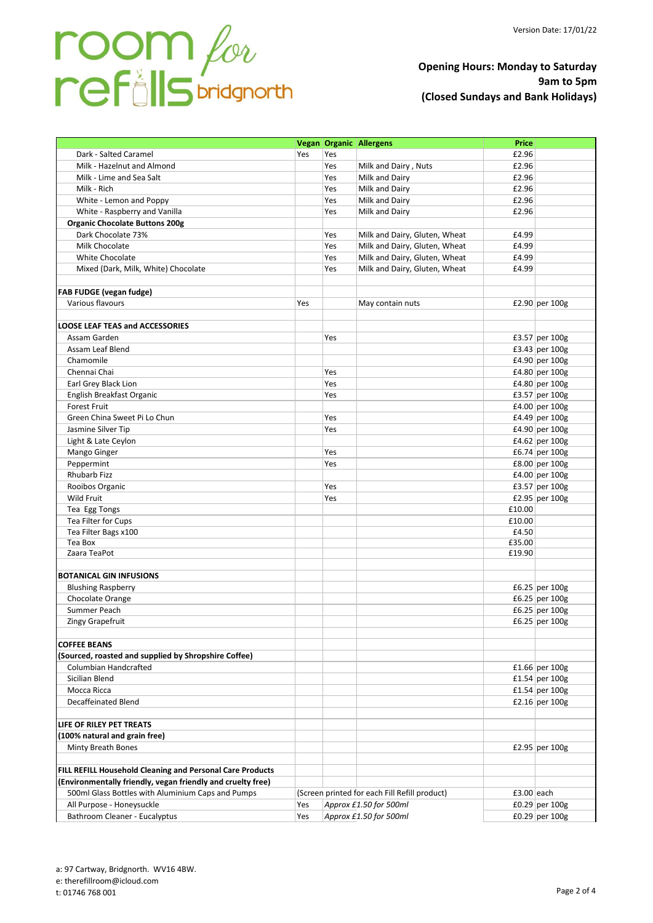

# **Opening Hours: Monday to Saturday 9am to 5pm (Closed Sundays and Bank Holidays)**

|                                                             |     |                        | Vegan   Organic   Allergens                   | <b>Price</b> |                  |
|-------------------------------------------------------------|-----|------------------------|-----------------------------------------------|--------------|------------------|
| Dark - Salted Caramel                                       | Yes | Yes                    |                                               | £2.96        |                  |
| Milk - Hazelnut and Almond                                  |     | Yes                    | Milk and Dairy, Nuts                          | £2.96        |                  |
| Milk - Lime and Sea Salt                                    |     | Yes                    | Milk and Dairy                                | £2.96        |                  |
| Milk - Rich                                                 |     | Yes                    | Milk and Dairy                                | £2.96        |                  |
| White - Lemon and Poppy                                     |     | Yes                    | Milk and Dairv                                | £2.96        |                  |
| White - Raspberry and Vanilla                               |     | Yes                    | Milk and Dairy                                | £2.96        |                  |
| <b>Organic Chocolate Buttons 200g</b>                       |     |                        |                                               |              |                  |
| Dark Chocolate 73%                                          |     | Yes                    | Milk and Dairy, Gluten, Wheat                 | £4.99        |                  |
| Milk Chocolate                                              |     | Yes                    | Milk and Dairy, Gluten, Wheat                 | £4.99        |                  |
| White Chocolate                                             |     | Yes                    | Milk and Dairy, Gluten, Wheat                 | £4.99        |                  |
| Mixed (Dark, Milk, White) Chocolate                         |     | Yes                    | Milk and Dairy, Gluten, Wheat                 | £4.99        |                  |
|                                                             |     |                        |                                               |              |                  |
| FAB FUDGE (vegan fudge)                                     |     |                        |                                               |              |                  |
| Various flavours                                            | Yes |                        | May contain nuts                              |              | £2.90 per $100g$ |
|                                                             |     |                        |                                               |              |                  |
| <b>LOOSE LEAF TEAS and ACCESSORIES</b>                      |     |                        |                                               |              |                  |
| Assam Garden                                                |     | Yes                    |                                               |              | £3.57 per $100g$ |
| Assam Leaf Blend                                            |     |                        |                                               |              |                  |
|                                                             |     |                        |                                               |              | £3.43 per $100g$ |
| Chamomile<br>Chennai Chai                                   |     |                        |                                               |              | £4.90 per 100g   |
|                                                             |     | Yes                    |                                               |              | £4.80 per 100g   |
| Earl Grey Black Lion                                        |     | Yes                    |                                               |              | £4.80 per 100g   |
| English Breakfast Organic                                   |     | Yes                    |                                               |              | £3.57 per $100g$ |
| <b>Forest Fruit</b>                                         |     |                        |                                               |              | £4.00 per 100g   |
| Green China Sweet Pi Lo Chun                                |     | Yes                    |                                               |              | £4.49 per 100g   |
| Jasmine Silver Tip                                          |     | Yes                    |                                               |              | £4.90 per 100g   |
| Light & Late Ceylon                                         |     |                        |                                               |              | £4.62 per 100g   |
| Mango Ginger                                                |     | Yes                    |                                               |              | £6.74 per $100g$ |
| Peppermint                                                  |     | Yes                    |                                               |              | £8.00 per 100g   |
| Rhubarb Fizz                                                |     |                        |                                               |              | £4.00 per 100g   |
| Rooibos Organic                                             |     | Yes                    |                                               |              | £3.57 per 100g   |
| Wild Fruit                                                  |     | Yes                    |                                               |              | £2.95 per 100g   |
| Tea Egg Tongs                                               |     |                        |                                               | £10.00       |                  |
| Tea Filter for Cups                                         |     |                        |                                               | £10.00       |                  |
| Tea Filter Bags x100                                        |     |                        |                                               | £4.50        |                  |
| Tea Box                                                     |     |                        |                                               | £35.00       |                  |
| Zaara TeaPot                                                |     |                        |                                               | £19.90       |                  |
|                                                             |     |                        |                                               |              |                  |
| <b>BOTANICAL GIN INFUSIONS</b>                              |     |                        |                                               |              |                  |
| <b>Blushing Raspberry</b>                                   |     |                        |                                               |              | £6.25 per $100g$ |
| Chocolate Orange                                            |     |                        |                                               |              | £6.25 per $100g$ |
| Summer Peach                                                |     |                        |                                               |              | £6.25 per 100g   |
| Zingy Grapefruit                                            |     |                        |                                               |              | £6.25 per 100g   |
|                                                             |     |                        |                                               |              |                  |
| <b>COFFEE BEANS</b>                                         |     |                        |                                               |              |                  |
| (Sourced, roasted and supplied by Shropshire Coffee)        |     |                        |                                               |              |                  |
| Columbian Handcrafted                                       |     |                        |                                               |              | £1.66 per $100g$ |
| Sicilian Blend                                              |     |                        |                                               |              | £1.54 per 100g   |
| Mocca Ricca                                                 |     |                        |                                               |              | £1.54 per $100g$ |
| <b>Decaffeinated Blend</b>                                  |     |                        |                                               |              | £2.16 per $100g$ |
|                                                             |     |                        |                                               |              |                  |
| LIFE OF RILEY PET TREATS                                    |     |                        |                                               |              |                  |
| (100% natural and grain free)                               |     |                        |                                               |              |                  |
| Minty Breath Bones                                          |     |                        |                                               |              | £2.95 per $100g$ |
|                                                             |     |                        |                                               |              |                  |
| FILL REFILL Household Cleaning and Personal Care Products   |     |                        |                                               |              |                  |
| (Environmentally friendly, vegan friendly and cruelty free) |     |                        |                                               |              |                  |
| 500ml Glass Bottles with Aluminium Caps and Pumps           |     |                        | (Screen printed for each Fill Refill product) | £3.00 each   |                  |
| All Purpose - Honeysuckle                                   | Yes |                        | Approx £1.50 for 500ml                        |              | £0.29 per $100g$ |
| Bathroom Cleaner - Eucalyptus                               | Yes |                        |                                               |              | £0.29 per $100g$ |
|                                                             |     | Approx £1.50 for 500ml |                                               |              |                  |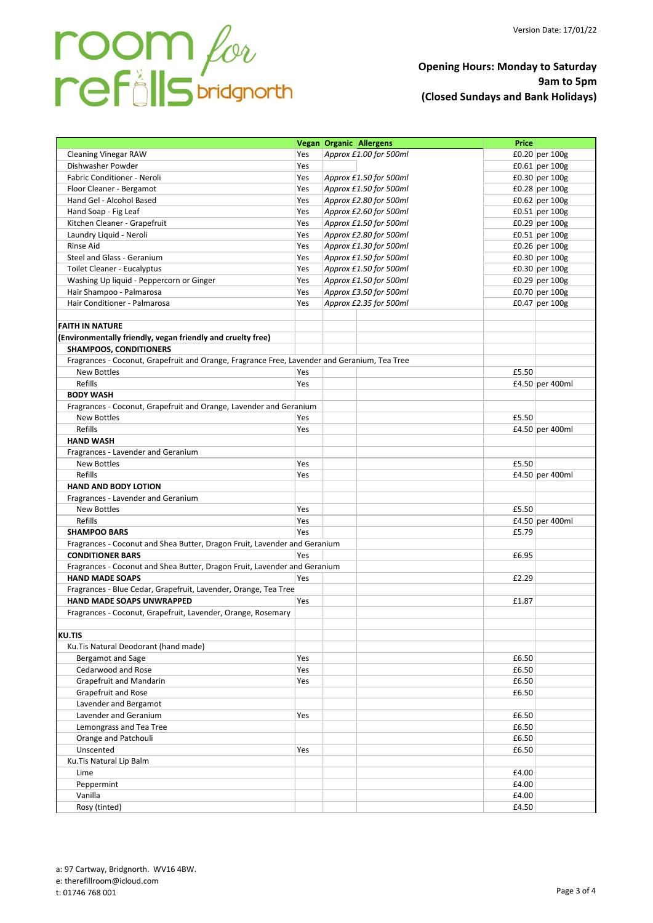# **Opening Hours: Monday to Saturday 9am to 5pm (Closed Sundays and Bank Holidays)**

|                                                                                              |     | <b>Vegan Organic Allergens</b> | Price |                  |
|----------------------------------------------------------------------------------------------|-----|--------------------------------|-------|------------------|
| <b>Cleaning Vinegar RAW</b>                                                                  | Yes | Approx £1.00 for 500ml         |       | £0.20 per $100g$ |
| Dishwasher Powder                                                                            | Yes |                                |       | $£0.61$ per 100g |
| Fabric Conditioner - Neroli                                                                  | Yes | Approx £1.50 for 500ml         |       | £0.30 per 100g   |
| Floor Cleaner - Bergamot                                                                     | Yes | Approx £1.50 for 500ml         |       | $£0.28$ per 100g |
| Hand Gel - Alcohol Based                                                                     | Yes | Approx £2.80 for 500ml         |       | $£0.62$ per 100g |
| Hand Soap - Fig Leaf                                                                         | Yes | Approx £2.60 for 500ml         |       | £0.51 per $100g$ |
| Kitchen Cleaner - Grapefruit                                                                 | Yes | Approx £1.50 for 500ml         |       | £0.29 per $100g$ |
| Laundry Liquid - Neroli                                                                      | Yes | Approx £2.80 for 500ml         |       | £0.51 per $100g$ |
| Rinse Aid                                                                                    | Yes | Approx £1.30 for 500ml         |       | £0.26 per $100g$ |
| Steel and Glass - Geranium                                                                   | Yes | Approx £1.50 for 500ml         |       | £0.30 per $100g$ |
| Toilet Cleaner - Eucalyptus                                                                  | Yes | Approx £1.50 for 500ml         |       | £0.30 per $100g$ |
| Washing Up liquid - Peppercorn or Ginger                                                     | Yes | Approx £1.50 for 500ml         |       | £0.29 per $100g$ |
| Hair Shampoo - Palmarosa                                                                     | Yes | Approx £3.50 for 500ml         |       | £0.70 per $100g$ |
| Hair Conditioner - Palmarosa                                                                 | Yes | Approx £2.35 for 500ml         |       | £0.47 per $100g$ |
|                                                                                              |     |                                |       |                  |
| <b>FAITH IN NATURE</b>                                                                       |     |                                |       |                  |
| (Environmentally friendly, vegan friendly and cruelty free)                                  |     |                                |       |                  |
| <b>SHAMPOOS, CONDITIONERS</b>                                                                |     |                                |       |                  |
| Fragrances - Coconut, Grapefruit and Orange, Fragrance Free, Lavender and Geranium, Tea Tree |     |                                |       |                  |
| <b>New Bottles</b>                                                                           | Yes |                                | £5.50 |                  |
| Refills                                                                                      | Yes |                                |       | £4.50 per 400ml  |
| <b>BODY WASH</b>                                                                             |     |                                |       |                  |
| Fragrances - Coconut, Grapefruit and Orange, Lavender and Geranium                           |     |                                |       |                  |
| <b>New Bottles</b>                                                                           | Yes |                                | £5.50 |                  |
| Refills                                                                                      | Yes |                                |       | £4.50 per 400ml  |
| <b>HAND WASH</b>                                                                             |     |                                |       |                  |
| Fragrances - Lavender and Geranium                                                           |     |                                |       |                  |
| <b>New Bottles</b>                                                                           | Yes |                                | £5.50 |                  |
| Refills                                                                                      |     |                                |       | £4.50 per 400ml  |
|                                                                                              | Yes |                                |       |                  |
| <b>HAND AND BODY LOTION</b>                                                                  |     |                                |       |                  |
| Fragrances - Lavender and Geranium                                                           |     |                                |       |                  |
| <b>New Bottles</b>                                                                           | Yes |                                | £5.50 |                  |
| Refills                                                                                      | Yes |                                |       | £4.50 per 400ml  |
| <b>SHAMPOO BARS</b>                                                                          | Yes |                                | £5.79 |                  |
| Fragrances - Coconut and Shea Butter, Dragon Fruit, Lavender and Geranium                    |     |                                |       |                  |
| <b>CONDITIONER BARS</b>                                                                      | Yes |                                | £6.95 |                  |
| Fragrances - Coconut and Shea Butter, Dragon Fruit, Lavender and Geranium                    |     |                                |       |                  |
| <b>HAND MADE SOAPS</b>                                                                       | Yes |                                | £2.29 |                  |
| Fragrances - Blue Cedar, Grapefruit, Lavender, Orange, Tea Tree                              |     |                                |       |                  |
| HAND MADE SOAPS UNWRAPPED                                                                    | Yes |                                | £1.87 |                  |
| Fragrances - Coconut, Grapefruit, Lavender, Orange, Rosemary                                 |     |                                |       |                  |
|                                                                                              |     |                                |       |                  |
| <b>KU.TIS</b>                                                                                |     |                                |       |                  |
| Ku. Tis Natural Deodorant (hand made)                                                        |     |                                |       |                  |
| Bergamot and Sage                                                                            | Yes |                                | £6.50 |                  |
| Cedarwood and Rose                                                                           | Yes |                                | £6.50 |                  |
| Grapefruit and Mandarin                                                                      | Yes |                                | £6.50 |                  |
| Grapefruit and Rose                                                                          |     |                                | £6.50 |                  |
| Lavender and Bergamot                                                                        |     |                                |       |                  |
| Lavender and Geranium                                                                        | Yes |                                | £6.50 |                  |
| Lemongrass and Tea Tree                                                                      |     |                                | £6.50 |                  |
| Orange and Patchouli                                                                         |     |                                | £6.50 |                  |
| Unscented                                                                                    | Yes |                                | £6.50 |                  |
| Ku. Tis Natural Lip Balm                                                                     |     |                                |       |                  |
| Lime                                                                                         |     |                                | £4.00 |                  |
| Peppermint                                                                                   |     |                                | £4.00 |                  |
| Vanilla                                                                                      |     |                                | £4.00 |                  |
| Rosy (tinted)                                                                                |     |                                | £4.50 |                  |